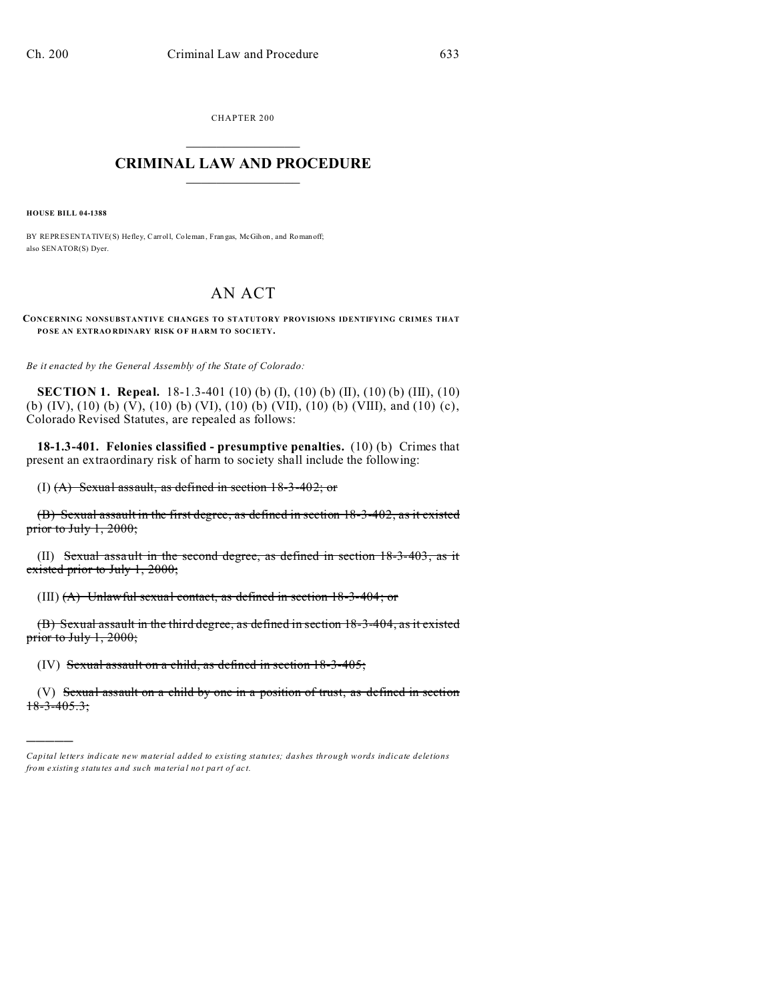CHAPTER 200  $\overline{\phantom{a}}$  , where  $\overline{\phantom{a}}$ 

## **CRIMINAL LAW AND PROCEDURE**  $\_$   $\_$   $\_$   $\_$   $\_$   $\_$   $\_$   $\_$   $\_$

**HOUSE BILL 04-1388**

)))))

BY REPRESENTATIVE(S) Hefley, Carroll, Coleman, Fran gas, McGihon, and Roman off; also SENATOR(S) Dyer.

## AN ACT

**CONCERNING NONSUBSTANTIVE CHANGES TO STATUTORY PROVISIONS IDENTIFYING CRIMES THAT POSE AN EXTRAO RDINARY RISK O F HARM TO SOCIETY.**

*Be it enacted by the General Assembly of the State of Colorado:*

**SECTION 1. Repeal.** 18-1.3-401 (10) (b) (I), (10) (b) (II), (10) (b) (III), (10) (b) (IV), (10) (b) (V), (10) (b) (VI), (10) (b) (VII), (10) (b) (VIII), and (10) (c), Colorado Revised Statutes, are repealed as follows:

**18-1.3-401. Felonies classified - presumptive penalties.** (10) (b) Crimes that present an extraordinary risk of harm to society shall include the following:

(I) (A) Sexual assault, as defined in section 18-3-402; or

(B) Sexual assault in the first degree, as defined in section 18-3-402, as it existed prior to July 1, 2000;

(II) Sexual assault in the second degree, as defined in section 18-3-403, as it existed prior to July 1, 2000;

(III) (A) Unlawful sexual contact, as defined in section 18-3-404; or

(B) Sexual assault in the third degree, as defined in section 18-3-404, as it existed prior to July 1, 2000;

(IV) Sexual assault on a child, as defined in section 18-3-405;

(V) Sexual assault on a child by one in a position of trust, as defined in section  $18-3-405.3;$ 

*Capital letters indicate new material added to existing statutes; dashes through words indicate deletions from e xistin g statu tes a nd such ma teria l no t pa rt of ac t.*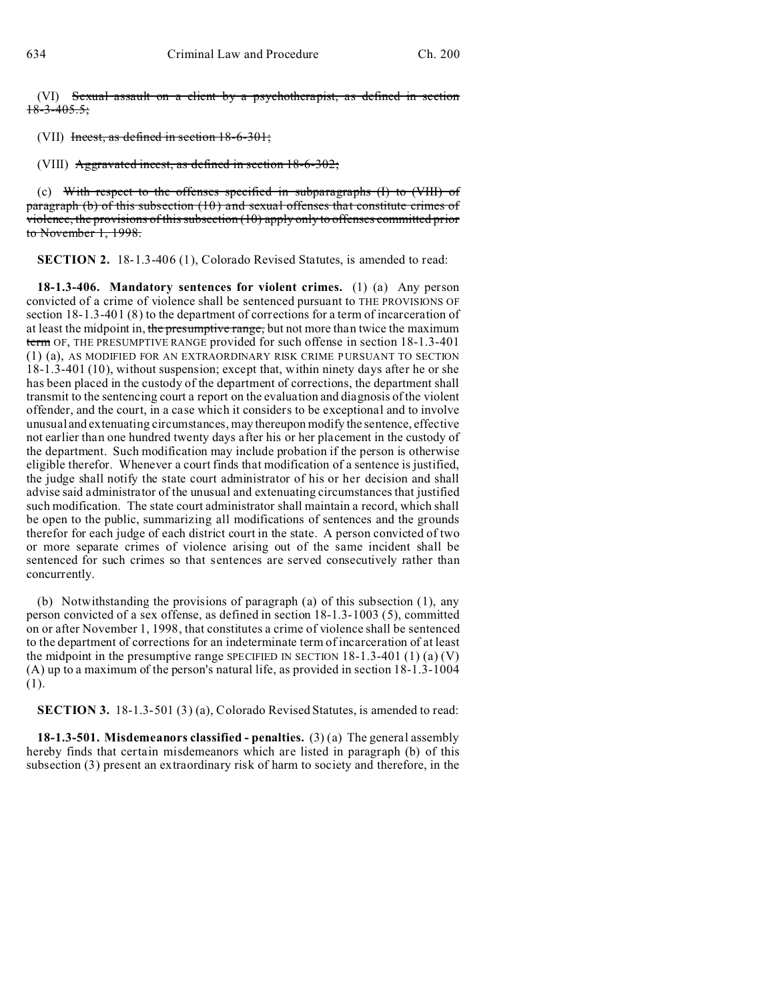(VI) Sexual assault on a client by a psychotherapist, as defined in section  $18-3-405.5$ ;

(VII) Incest, as defined in section 18-6-301;

(VIII) Aggravated incest, as defined in section 18-6-302;

(c) With respect to the offenses specified in subparagraphs  $(I)$  to  $(VIII)$  of paragraph (b) of this subsection (10) and sexual offenses that constitute crimes of violence, the provisions of this subsection (10) apply only to offenses committed prior to November 1, 1998.

**SECTION 2.** 18-1.3-406 (1), Colorado Revised Statutes, is amended to read:

**18-1.3-406. Mandatory sentences for violent crimes.** (1) (a) Any person convicted of a crime of violence shall be sentenced pursuant to THE PROVISIONS OF section 18-1.3-401 (8) to the department of corrections for a term of incarceration of at least the midpoint in, the presumptive range, but not more than twice the maximum term OF, THE PRESUMPTIVE RANGE provided for such offense in section 18-1.3-401 (1) (a), AS MODIFIED FOR AN EXTRAORDINARY RISK CRIME PURSUANT TO SECTION 18-1.3-401 (10), without suspension; except that, within ninety days after he or she has been placed in the custody of the department of corrections, the department shall transmit to the sentencing court a report on the evaluation and diagnosis of the violent offender, and the court, in a case which it considers to be exceptional and to involve unusual and extenuating circumstances, may thereupon modify the sentence, effective not earlier than one hundred twenty days after his or her placement in the custody of the department. Such modification may include probation if the person is otherwise eligible therefor. Whenever a court finds that modification of a sentence is justified, the judge shall notify the state court administrator of his or her decision and shall advise said administrator of the unusual and extenuating circumstances that justified such modification. The state court administrator shall maintain a record, which shall be open to the public, summarizing all modifications of sentences and the grounds therefor for each judge of each district court in the state. A person convicted of two or more separate crimes of violence arising out of the same incident shall be sentenced for such crimes so that sentences are served consecutively rather than concurrently.

(b) Notwithstanding the provisions of paragraph (a) of this subsection (1), any person convicted of a sex offense, as defined in section 18-1.3-1003 (5), committed on or after November 1, 1998, that constitutes a crime of violence shall be sentenced to the department of corrections for an indeterminate term of incarceration of at least the midpoint in the presumptive range SPECIFIED IN SECTION  $18-1.3-401(1)(a)(V)$ (A) up to a maximum of the person's natural life, as provided in section 18-1.3-1004 (1).

**SECTION 3.** 18-1.3-501 (3) (a), Colorado Revised Statutes, is amended to read:

**18-1.3-501. Misdemeanors classified - penalties.** (3) (a) The general assembly hereby finds that certain misdemeanors which are listed in paragraph (b) of this subsection (3) present an extraordinary risk of harm to society and therefore, in the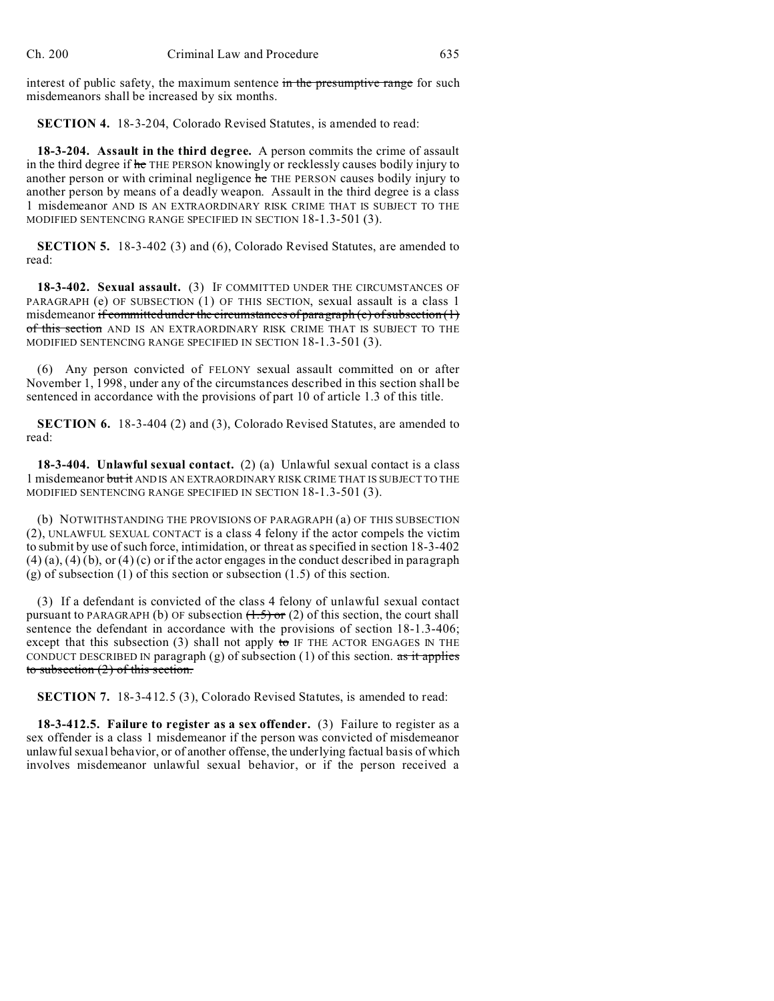interest of public safety, the maximum sentence in the presumptive range for such misdemeanors shall be increased by six months.

**SECTION 4.** 18-3-204, Colorado Revised Statutes, is amended to read:

**18-3-204. Assault in the third degree.** A person commits the crime of assault in the third degree if he THE PERSON knowingly or recklessly causes bodily injury to another person or with criminal negligence he THE PERSON causes bodily injury to another person by means of a deadly weapon. Assault in the third degree is a class 1 misdemeanor AND IS AN EXTRAORDINARY RISK CRIME THAT IS SUBJECT TO THE MODIFIED SENTENCING RANGE SPECIFIED IN SECTION 18-1.3-501 (3).

**SECTION 5.** 18-3-402 (3) and (6), Colorado Revised Statutes, are amended to read:

**18-3-402. Sexual assault.** (3) IF COMMITTED UNDER THE CIRCUMSTANCES OF PARAGRAPH (e) OF SUBSECTION (1) OF THIS SECTION, sexual assault is a class 1 misdemeanor if committed under the circumstances of paragraph (e) of subsection  $(1)$ of this section AND IS AN EXTRAORDINARY RISK CRIME THAT IS SUBJECT TO THE MODIFIED SENTENCING RANGE SPECIFIED IN SECTION 18-1.3-501 (3).

(6) Any person convicted of FELONY sexual assault committed on or after November 1, 1998, under any of the circumstances described in this section shall be sentenced in accordance with the provisions of part 10 of article 1.3 of this title.

**SECTION 6.** 18-3-404 (2) and (3), Colorado Revised Statutes, are amended to read:

**18-3-404. Unlawful sexual contact.** (2) (a) Unlawful sexual contact is a class 1 misdemeanor but it AND IS AN EXTRAORDINARY RISK CRIME THAT IS SUBJECT TO THE MODIFIED SENTENCING RANGE SPECIFIED IN SECTION 18-1.3-501 (3).

(b) NOTWITHSTANDING THE PROVISIONS OF PARAGRAPH (a) OF THIS SUBSECTION (2), UNLAWFUL SEXUAL CONTACT is a class 4 felony if the actor compels the victim to submit by use of such force, intimidation, or threat as specified in section 18-3-402  $(4)$  (a),  $(4)$  (b), or  $(4)$  (c) or if the actor engages in the conduct described in paragraph (g) of subsection (1) of this section or subsection  $(1.5)$  of this section.

(3) If a defendant is convicted of the class 4 felony of unlawful sexual contact pursuant to PARAGRAPH (b) OF subsection  $(1.5)$  or (2) of this section, the court shall sentence the defendant in accordance with the provisions of section 18-1.3-406; except that this subsection (3) shall not apply to IF THE ACTOR ENGAGES IN THE CONDUCT DESCRIBED IN paragraph  $(g)$  of subsection (1) of this section. as it applies to subsection (2) of this section.

**SECTION 7.** 18-3-412.5 (3), Colorado Revised Statutes, is amended to read:

**18-3-412.5. Failure to register as a sex offender.** (3) Failure to register as a sex offender is a class 1 misdemeanor if the person was convicted of misdemeanor unlawful sexual behavior, or of another offense, the underlying factual basis of which involves misdemeanor unlawful sexual behavior, or if the person received a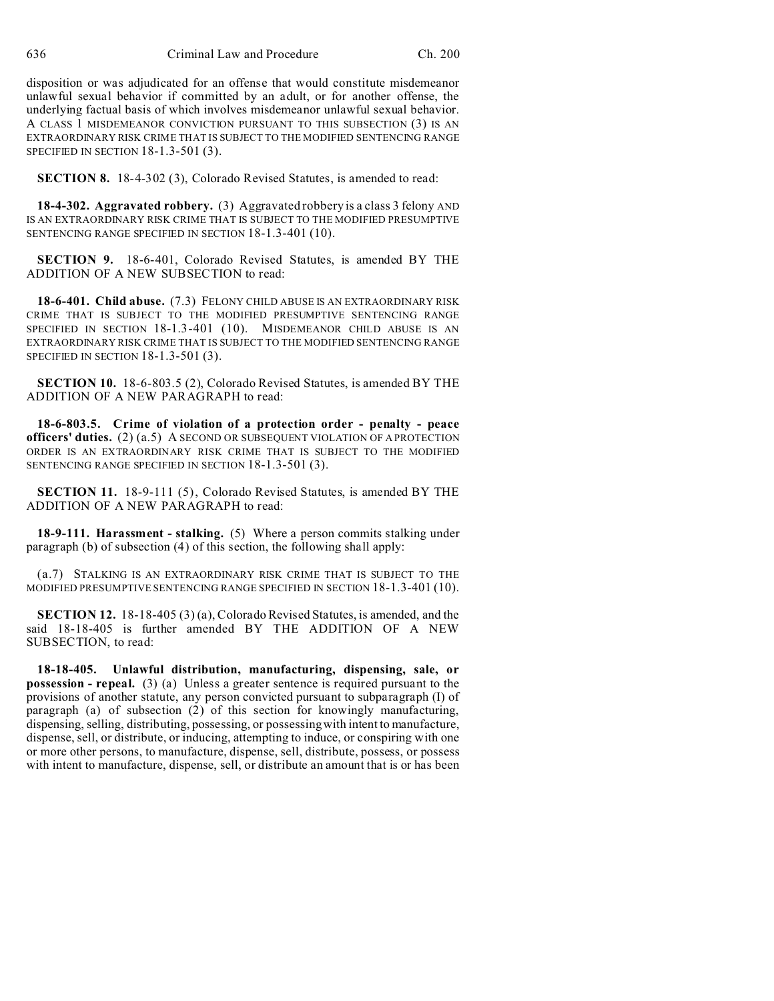disposition or was adjudicated for an offense that would constitute misdemeanor unlawful sexual behavior if committed by an adult, or for another offense, the underlying factual basis of which involves misdemeanor unlawful sexual behavior. A CLASS 1 MISDEMEANOR CONVICTION PURSUANT TO THIS SUBSECTION (3) IS AN EXTRAORDINARY RISK CRIME THAT IS SUBJECT TO THE MODIFIED SENTENCING RANGE SPECIFIED IN SECTION 18-1.3-501 (3).

**SECTION 8.** 18-4-302 (3), Colorado Revised Statutes, is amended to read:

**18-4-302. Aggravated robbery.** (3) Aggravated robbery is a class 3 felony AND IS AN EXTRAORDINARY RISK CRIME THAT IS SUBJECT TO THE MODIFIED PRESUMPTIVE SENTENCING RANGE SPECIFIED IN SECTION 18-1.3-401 (10).

**SECTION 9.** 18-6-401, Colorado Revised Statutes, is amended BY THE ADDITION OF A NEW SUBSECTION to read:

**18-6-401. Child abuse.** (7.3) FELONY CHILD ABUSE IS AN EXTRAORDINARY RISK CRIME THAT IS SUBJECT TO THE MODIFIED PRESUMPTIVE SENTENCING RANGE SPECIFIED IN SECTION 18-1.3-401 (10). MISDEMEANOR CHILD ABUSE IS AN EXTRAORDINARY RISK CRIME THAT IS SUBJECT TO THE MODIFIED SENTENCING RANGE SPECIFIED IN SECTION 18-1.3-501 (3).

**SECTION 10.** 18-6-803.5 (2), Colorado Revised Statutes, is amended BY THE ADDITION OF A NEW PARAGRAPH to read:

**18-6-803.5. Crime of violation of a protection order - penalty - peace officers' duties.** (2) (a.5) A SECOND OR SUBSEQUENT VIOLATION OF A PROTECTION ORDER IS AN EXTRAORDINARY RISK CRIME THAT IS SUBJECT TO THE MODIFIED SENTENCING RANGE SPECIFIED IN SECTION 18-1.3-501 (3).

**SECTION 11.** 18-9-111 (5), Colorado Revised Statutes, is amended BY THE ADDITION OF A NEW PARAGRAPH to read:

**18-9-111. Harassment - stalking.** (5) Where a person commits stalking under paragraph (b) of subsection (4) of this section, the following shall apply:

(a.7) STALKING IS AN EXTRAORDINARY RISK CRIME THAT IS SUBJECT TO THE MODIFIED PRESUMPTIVE SENTENCING RANGE SPECIFIED IN SECTION 18-1.3-401 (10).

**SECTION 12.** 18-18-405 (3) (a), Colorado Revised Statutes, is amended, and the said 18-18-405 is further amended BY THE ADDITION OF A NEW SUBSECTION, to read:

**18-18-405. Unlawful distribution, manufacturing, dispensing, sale, or possession - repeal.** (3) (a) Unless a greater sentence is required pursuant to the provisions of another statute, any person convicted pursuant to subparagraph (I) of paragraph (a) of subsection (2) of this section for knowingly manufacturing, dispensing, selling, distributing, possessing, or possessing with intent to manufacture, dispense, sell, or distribute, or inducing, attempting to induce, or conspiring with one or more other persons, to manufacture, dispense, sell, distribute, possess, or possess with intent to manufacture, dispense, sell, or distribute an amount that is or has been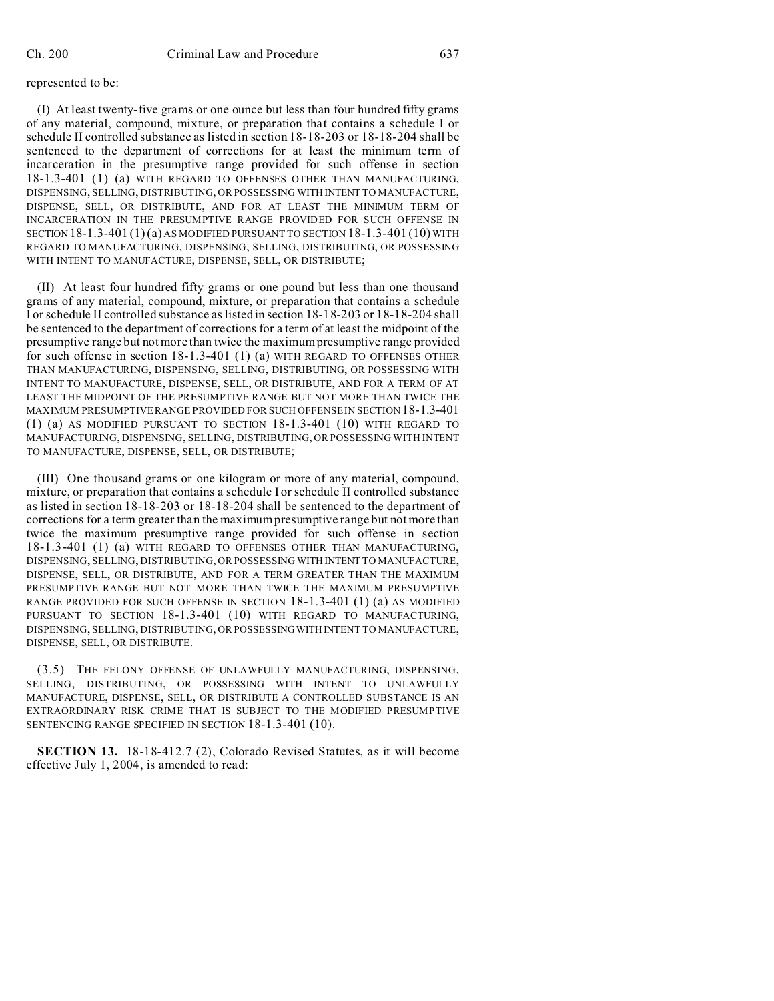## represented to be:

(I) At least twenty-five grams or one ounce but less than four hundred fifty grams of any material, compound, mixture, or preparation that contains a schedule I or schedule II controlled substance as listed in section 18-18-203 or 18-18-204 shall be sentenced to the department of corrections for at least the minimum term of incarceration in the presumptive range provided for such offense in section 18-1.3-401 (1) (a) WITH REGARD TO OFFENSES OTHER THAN MANUFACTURING, DISPENSING, SELLING, DISTRIBUTING, OR POSSESSING WITH INTENT TO MANUFACTURE, DISPENSE, SELL, OR DISTRIBUTE, AND FOR AT LEAST THE MINIMUM TERM OF INCARCERATION IN THE PRESUMPTIVE RANGE PROVIDED FOR SUCH OFFENSE IN SECTION  $18-1.3-401(1)(a)$  AS MODIFIED PURSUANT TO SECTION  $18-1.3-401(10)$  with REGARD TO MANUFACTURING, DISPENSING, SELLING, DISTRIBUTING, OR POSSESSING WITH INTENT TO MANUFACTURE, DISPENSE, SELL, OR DISTRIBUTE;

(II) At least four hundred fifty grams or one pound but less than one thousand grams of any material, compound, mixture, or preparation that contains a schedule I or schedule II controlled substance as listed in section 18-18-203 or 18-18-204 shall be sentenced to the department of corrections for a term of at least the midpoint of the presumptive range but not more than twice the maximum presumptive range provided for such offense in section 18-1.3-401 (1) (a) WITH REGARD TO OFFENSES OTHER THAN MANUFACTURING, DISPENSING, SELLING, DISTRIBUTING, OR POSSESSING WITH INTENT TO MANUFACTURE, DISPENSE, SELL, OR DISTRIBUTE, AND FOR A TERM OF AT LEAST THE MIDPOINT OF THE PRESUMPTIVE RANGE BUT NOT MORE THAN TWICE THE MAXIMUM PRESUMPTIVE RANGE PROVIDED FOR SUCH OFFENSE IN SECTION 18-1.3-401 (1) (a) AS MODIFIED PURSUANT TO SECTION 18-1.3-401 (10) WITH REGARD TO MANUFACTURING, DISPENSING, SELLING, DISTRIBUTING, OR POSSESSING WITH INTENT TO MANUFACTURE, DISPENSE, SELL, OR DISTRIBUTE;

(III) One thousand grams or one kilogram or more of any material, compound, mixture, or preparation that contains a schedule I or schedule II controlled substance as listed in section 18-18-203 or 18-18-204 shall be sentenced to the department of corrections for a term greater than the maximum presumptive range but not more than twice the maximum presumptive range provided for such offense in section 18-1.3-401 (1) (a) WITH REGARD TO OFFENSES OTHER THAN MANUFACTURING, DISPENSING, SELLING, DISTRIBUTING, OR POSSESSING WITH INTENT TO MANUFACTURE, DISPENSE, SELL, OR DISTRIBUTE, AND FOR A TERM GREATER THAN THE MAXIMUM PRESUMPTIVE RANGE BUT NOT MORE THAN TWICE THE MAXIMUM PRESUMPTIVE RANGE PROVIDED FOR SUCH OFFENSE IN SECTION 18-1.3-401 (1) (a) AS MODIFIED PURSUANT TO SECTION 18-1.3-401 (10) WITH REGARD TO MANUFACTURING, DISPENSING, SELLING, DISTRIBUTING, OR POSSESSINGWITH INTENT TO MANUFACTURE, DISPENSE, SELL, OR DISTRIBUTE.

(3.5) THE FELONY OFFENSE OF UNLAWFULLY MANUFACTURING, DISPENSING, SELLING, DISTRIBUTING, OR POSSESSING WITH INTENT TO UNLAWFULLY MANUFACTURE, DISPENSE, SELL, OR DISTRIBUTE A CONTROLLED SUBSTANCE IS AN EXTRAORDINARY RISK CRIME THAT IS SUBJECT TO THE MODIFIED PRESUMPTIVE SENTENCING RANGE SPECIFIED IN SECTION 18-1.3-401 (10).

**SECTION 13.** 18-18-412.7 (2), Colorado Revised Statutes, as it will become effective July 1, 2004, is amended to read: